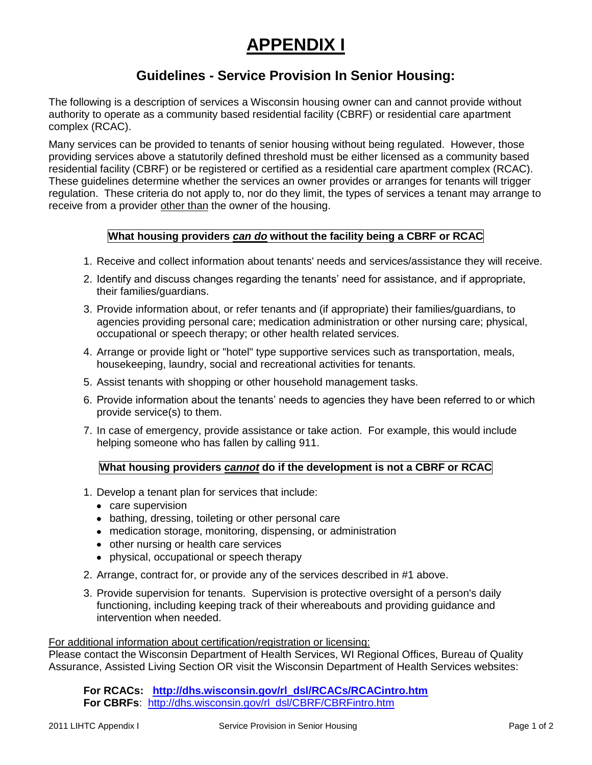# **APPENDIX I**

# **Guidelines - Service Provision In Senior Housing:**

The following is a description of services a Wisconsin housing owner can and cannot provide without authority to operate as a community based residential facility (CBRF) or residential care apartment complex (RCAC).

Many services can be provided to tenants of senior housing without being regulated. However, those providing services above a statutorily defined threshold must be either licensed as a community based residential facility (CBRF) or be registered or certified as a residential care apartment complex (RCAC). These guidelines determine whether the services an owner provides or arranges for tenants will trigger regulation. These criteria do not apply to, nor do they limit, the types of services a tenant may arrange to receive from a provider other than the owner of the housing.

# **What housing providers** *can do* **without the facility being a CBRF or RCAC**

- 1. Receive and collect information about tenants' needs and services/assistance they will receive.
- 2. Identify and discuss changes regarding the tenants' need for assistance, and if appropriate, their families/guardians.
- 3. Provide information about, or refer tenants and (if appropriate) their families/guardians, to agencies providing personal care; medication administration or other nursing care; physical, occupational or speech therapy; or other health related services.
- 4. Arrange or provide light or "hotel" type supportive services such as transportation, meals, housekeeping, laundry, social and recreational activities for tenants.
- 5. Assist tenants with shopping or other household management tasks.
- 6. Provide information about the tenants' needs to agencies they have been referred to or which provide service(s) to them.
- 7. In case of emergency, provide assistance or take action. For example, this would include helping someone who has fallen by calling 911.

# **What housing providers** *cannot* **do if the development is not a CBRF or RCAC**

- 1. Develop a tenant plan for services that include:
	- care supervision
	- bathing, dressing, toileting or other personal care
	- medication storage, monitoring, dispensing, or administration
	- other nursing or health care services
	- physical, occupational or speech therapy
- 2. Arrange, contract for, or provide any of the services described in #1 above.
- 3. Provide supervision for tenants. Supervision is protective oversight of a person's daily functioning, including keeping track of their whereabouts and providing guidance and intervention when needed.

#### For additional information about certification/registration or licensing:

Please contact the Wisconsin Department of Health Services, WI Regional Offices, Bureau of Quality Assurance, Assisted Living Section OR visit the Wisconsin Department of Health Services websites:

**For RCACs: [http://dhs.wisconsin.gov/rl\\_dsl/RCACs/RCACintro.htm](http://dhs.wisconsin.gov/rl_dsl/RCACs/RCACintro.htm) For CBRFs**: [http://dhs.wisconsin.gov/rl\\_dsl/CBRF/CBRFintro.htm](http://dhs.wisconsin.gov/rl_dsl/CBRF/CBRFintro.htm)